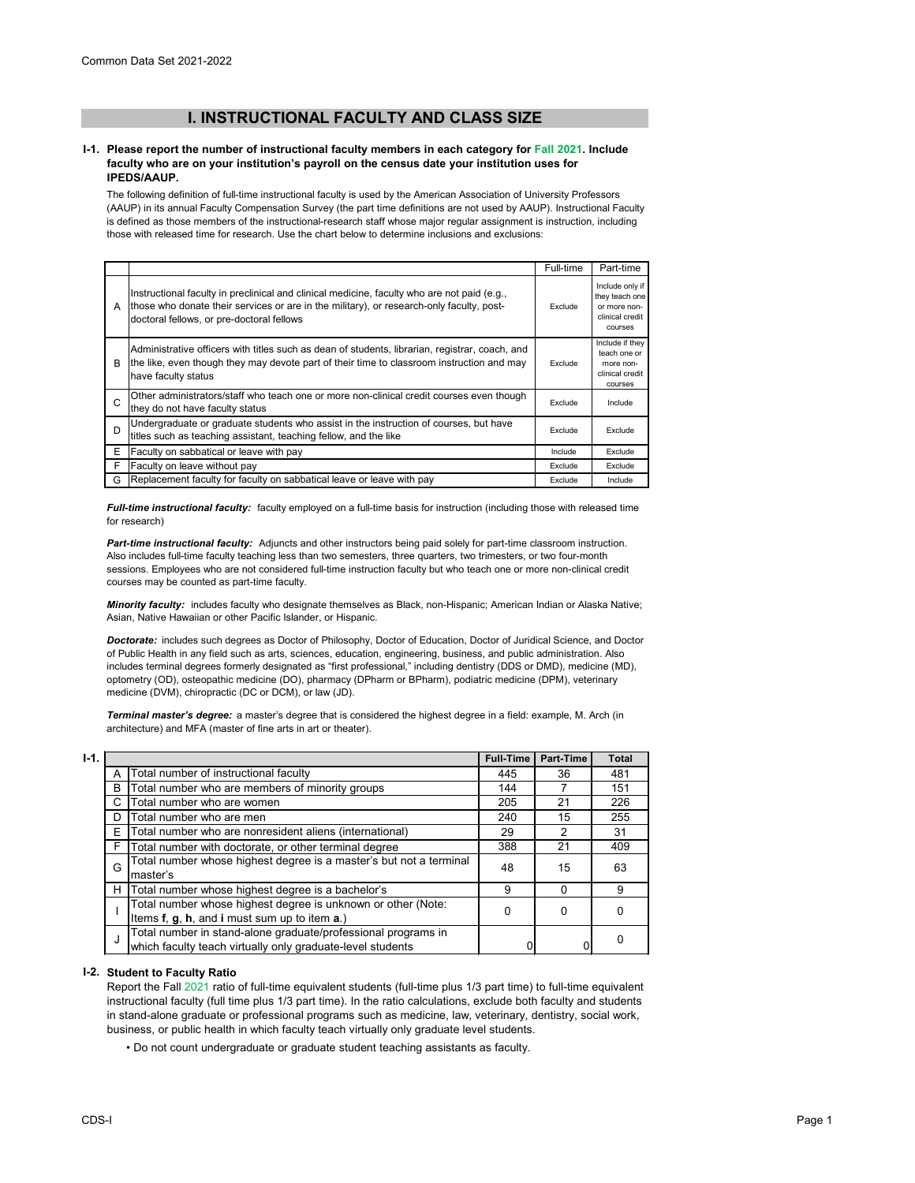# **I. INSTRUCTIONAL FACULTY AND CLASS SIZE**

### **I-1. Please report the number of instructional faculty members in each category for Fall 2021. Include faculty who are on your institution's payroll on the census date your institution uses for IPEDS/AAUP.**

The following definition of full-time instructional faculty is used by the American Association of University Professors (AAUP) in its annual Faculty Compensation Survey (the part time definitions are not used by AAUP). Instructional Faculty is defined as those members of the instructional-research staff whose major regular assignment is instruction, including those with released time for research. Use the chart below to determine inclusions and exclusions:

|    |                                                                                                                                                                                                                                      | Full-time | Part-time                                                                       |
|----|--------------------------------------------------------------------------------------------------------------------------------------------------------------------------------------------------------------------------------------|-----------|---------------------------------------------------------------------------------|
| A  | Instructional faculty in preclinical and clinical medicine, faculty who are not paid (e.g.,<br>those who donate their services or are in the military), or research-only faculty, post-<br>doctoral fellows, or pre-doctoral fellows | Exclude   | Include only if<br>they teach one<br>or more non-<br>clinical credit<br>courses |
| B  | Administrative officers with titles such as dean of students, librarian, registrar, coach, and<br>the like, even though they may devote part of their time to classroom instruction and may<br>have faculty status                   | Exclude   | Include if they<br>teach one or<br>more non-<br>clinical credit<br>courses      |
| C  | Other administrators/staff who teach one or more non-clinical credit courses even though<br>they do not have faculty status                                                                                                          | Exclude   | Include                                                                         |
| D  | Undergraduate or graduate students who assist in the instruction of courses, but have<br>titles such as teaching assistant, teaching fellow, and the like                                                                            | Exclude   | Exclude                                                                         |
| E. | Faculty on sabbatical or leave with pay                                                                                                                                                                                              | Include   | Exclude                                                                         |
| F  | Faculty on leave without pay                                                                                                                                                                                                         | Exclude   | Exclude                                                                         |
| G  | Replacement faculty for faculty on sabbatical leave or leave with pay                                                                                                                                                                | Exclude   | Include                                                                         |

*Full-time instructional faculty:* faculty employed on a full-time basis for instruction (including those with released time for research)

*Part-time instructional faculty:* Adjuncts and other instructors being paid solely for part-time classroom instruction. Also includes full-time faculty teaching less than two semesters, three quarters, two trimesters, or two four-month sessions. Employees who are not considered full-time instruction faculty but who teach one or more non-clinical credit courses may be counted as part-time faculty.

*Minority faculty:* includes faculty who designate themselves as Black, non-Hispanic; American Indian or Alaska Native; Asian, Native Hawaiian or other Pacific Islander, or Hispanic.

*Doctorate:* includes such degrees as Doctor of Philosophy, Doctor of Education, Doctor of Juridical Science, and Doctor of Public Health in any field such as arts, sciences, education, engineering, business, and public administration. Also includes terminal degrees formerly designated as "first professional," including dentistry (DDS or DMD), medicine (MD), optometry (OD), osteopathic medicine (DO), pharmacy (DPharm or BPharm), podiatric medicine (DPM), veterinary medicine (DVM), chiropractic (DC or DCM), or law (JD).

*Terminal master's degree:* a master's degree that is considered the highest degree in a field: example, M. Arch (in architecture) and MFA (master of fine arts in art or theater).

| $I-1.$ |   |                                                                                                                             | <b>Full-Time</b> | <b>Part-Time</b> | <b>Total</b> |
|--------|---|-----------------------------------------------------------------------------------------------------------------------------|------------------|------------------|--------------|
|        | А | Total number of instructional faculty                                                                                       | 445              | 36               | 481          |
|        | B | Total number who are members of minority groups                                                                             | 144              |                  | 151          |
|        | C | Total number who are women                                                                                                  | 205              | 21               | 226          |
|        | D | Total number who are men                                                                                                    | 240              | 15               | 255          |
|        | Е | Total number who are nonresident aliens (international)                                                                     | 29               | 2                | 31           |
|        | F | Total number with doctorate, or other terminal degree                                                                       | 388              | 21               | 409          |
|        | G | Total number whose highest degree is a master's but not a terminal<br>master's                                              | 48               | 15               | 63           |
|        | н | Total number whose highest degree is a bachelor's                                                                           | 9                | 0                | 9            |
|        |   | Total number whose highest degree is unknown or other (Note:<br>Items f, g, h, and i must sum up to item a.)                | 0                | 0                |              |
|        | J | Total number in stand-alone graduate/professional programs in<br>which faculty teach virtually only graduate-level students |                  |                  |              |

## **I-2. Student to Faculty Ratio**

Report the Fall 2021 ratio of full-time equivalent students (full-time plus 1/3 part time) to full-time equivalent instructional faculty (full time plus 1/3 part time). In the ratio calculations, exclude both faculty and students in stand-alone graduate or professional programs such as medicine, law, veterinary, dentistry, social work, business, or public health in which faculty teach virtually only graduate level students.

• Do not count undergraduate or graduate student teaching assistants as faculty.